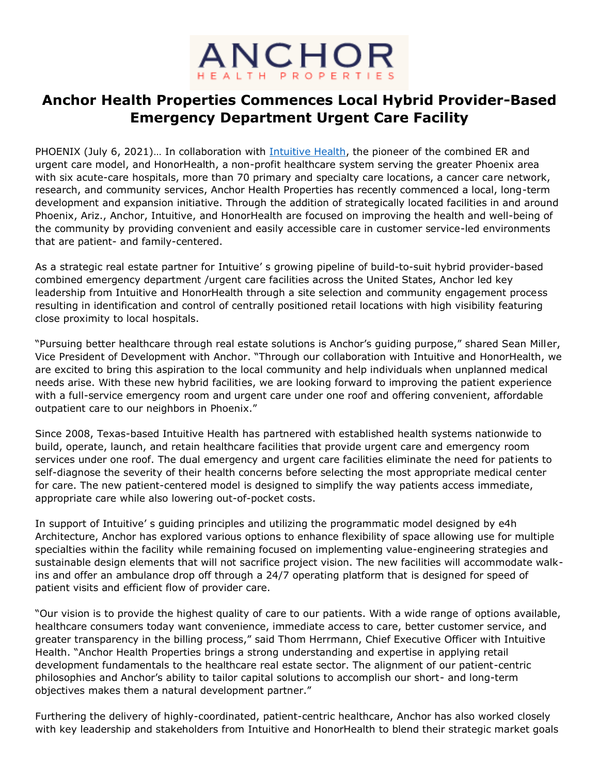

## **Anchor Health Properties Commences Local Hybrid Provider-Based Emergency Department Urgent Care Facility**

PHOENIX (July 6, 2021)... In collaboration with [Intuitive Health,](https://www.activepure.com/scientific-proof/?utm_source=PR&utm_medium=Newsroom&utm_campaign=HonorHealth-ERUC&utm_content=Anchor+Health+Properties+Commences+Local+Hybrid+Provider-Based+Emergency+Department+Urgent+Care+Facility) the pioneer of the combined ER and urgent care model, and HonorHealth, a non-profit healthcare system serving the greater Phoenix area with six acute-care hospitals, more than 70 primary and specialty care locations, a cancer care network, research, and community services, Anchor Health Properties has recently commenced a local, long-term development and expansion initiative. Through the addition of strategically located facilities in and around Phoenix, Ariz., Anchor, Intuitive, and HonorHealth are focused on improving the health and well-being of the community by providing convenient and easily accessible care in customer service-led environments that are patient- and family-centered.

As a strategic real estate partner for Intuitive' s growing pipeline of build-to-suit hybrid provider-based combined emergency department /urgent care facilities across the United States, Anchor led key leadership from Intuitive and HonorHealth through a site selection and community engagement process resulting in identification and control of centrally positioned retail locations with high visibility featuring close proximity to local hospitals.

"Pursuing better healthcare through real estate solutions is Anchor's guiding purpose," shared Sean Miller, Vice President of Development with Anchor. "Through our collaboration with Intuitive and HonorHealth, we are excited to bring this aspiration to the local community and help individuals when unplanned medical needs arise. With these new hybrid facilities, we are looking forward to improving the patient experience with a full-service emergency room and urgent care under one roof and offering convenient, affordable outpatient care to our neighbors in Phoenix."

Since 2008, Texas-based Intuitive Health has partnered with established health systems nationwide to build, operate, launch, and retain healthcare facilities that provide urgent care and emergency room services under one roof. The dual emergency and urgent care facilities eliminate the need for patients to self-diagnose the severity of their health concerns before selecting the most appropriate medical center for care. The new patient-centered model is designed to simplify the way patients access immediate, appropriate care while also lowering out-of-pocket costs.

In support of Intuitive' s guiding principles and utilizing the programmatic model designed by e4h Architecture, Anchor has explored various options to enhance flexibility of space allowing use for multiple specialties within the facility while remaining focused on implementing value-engineering strategies and sustainable design elements that will not sacrifice project vision. The new facilities will accommodate walkins and offer an ambulance drop off through a 24/7 operating platform that is designed for speed of patient visits and efficient flow of provider care.

"Our vision is to provide the highest quality of care to our patients. With a wide range of options available, healthcare consumers today want convenience, immediate access to care, better customer service, and greater transparency in the billing process," said Thom Herrmann, Chief Executive Officer with Intuitive Health. "Anchor Health Properties brings a strong understanding and expertise in applying retail development fundamentals to the healthcare real estate sector. The alignment of our patient-centric philosophies and Anchor's ability to tailor capital solutions to accomplish our short- and long-term objectives makes them a natural development partner."

Furthering the delivery of highly-coordinated, patient-centric healthcare, Anchor has also worked closely with key leadership and stakeholders from Intuitive and HonorHealth to blend their strategic market goals